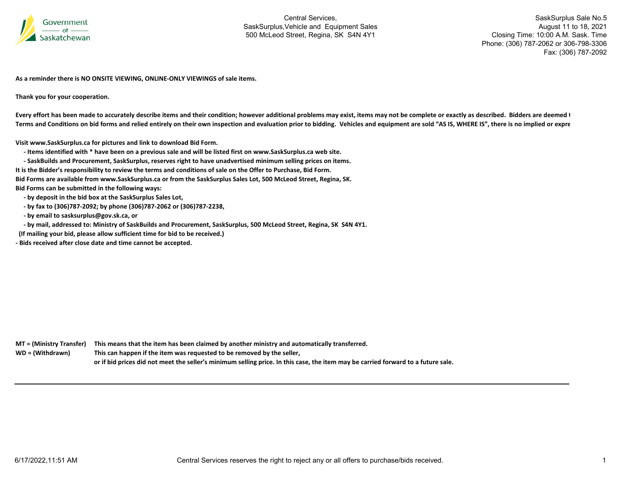

SaskSurplus Sale No.5 August 11 to 18, 2021 Closing Time: 10:00 A.M. Sask. Time Phone: (306) 787-2062 or 306-798-3306 Fax: (306) 787-2092

**As a reminder there is NO ONSITE VIEWING, ONLINE‐ONLY VIEWINGS of sale items.**

**Thank you for your cooperation.**

Every effort has been made to accurately describe items and their condition; however additional problems may exist, items may not be complete or exactly as described. Bidders are deemed 1 Terms and Conditions on bid forms and relied entirely on their own inspection and evaluation prior to bidding. Vehicles and equipment are sold "AS IS, WHERE IS", there is no implied or expre

**Visit www.SaskSurplus.ca for pictures and link to download Bid Form.**

- Items identified with \* have been on a previous sale and will be listed first on www.SaskSurplus.ca web site.

- SaskBuilds and Procurement, SaskSurplus, reserves right to have unadvertised minimum selling prices on items.

It is the Bidder's responsibility to review the terms and conditions of sale on the Offer to Purchase, Bid Form.

Bid Forms are available from www.SaskSurplus.ca or from the SaskSurplus Sales Lot, 500 McLeod Street, Regina, SK.

**Bid Forms can be submitted in the following ways:**

 **‐ by deposit in the bid box at the SaskSurplus Sales Lot,**

- **‐ by fax to (306)787‐2092; by phone (306)787‐2062 or (306)787‐2238,**
- **‐ by email to sasksurplus@gov.sk.ca, or**
- by mail, addressed to: Ministry of SaskBuilds and Procurement, SaskSurplus, 500 McLeod Street, Regina, SK S4N 4Y1.
- **(If mailing your bid, please allow sufficient time for bid to be received.)**

**‐ Bids received after close date and time cannot be accepted.**

MT = (Ministry Transfer) This means that the item has been claimed by another ministry and automatically transferred. WD = (Withdrawn) **<sup>=</sup> (Withdrawn) This can happen if the item was requested to be removed by the seller,** or if bid prices did not meet the seller's minimum selling price. In this case, the item may be carried forward to a future sale.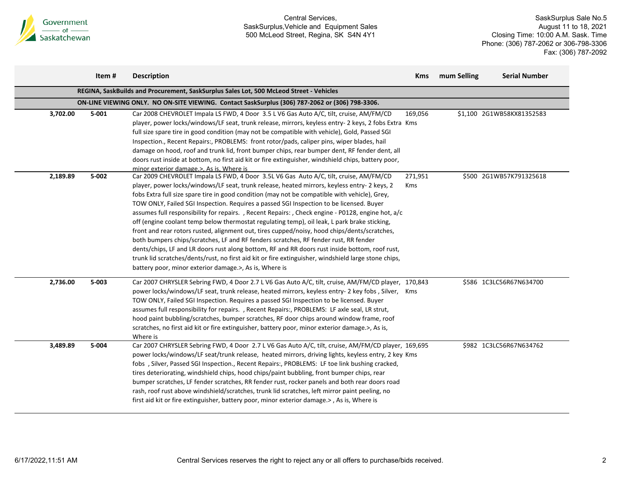

|          | Item#     | <b>Description</b>                                                                                                                                                                                                                                                                                                                                                                                                                                                                                                                                                                                                                                                                                                                                                                                                                                                                                                                                                                                                                                | <b>Kms</b>            | mum Selling | <b>Serial Number</b>      |
|----------|-----------|---------------------------------------------------------------------------------------------------------------------------------------------------------------------------------------------------------------------------------------------------------------------------------------------------------------------------------------------------------------------------------------------------------------------------------------------------------------------------------------------------------------------------------------------------------------------------------------------------------------------------------------------------------------------------------------------------------------------------------------------------------------------------------------------------------------------------------------------------------------------------------------------------------------------------------------------------------------------------------------------------------------------------------------------------|-----------------------|-------------|---------------------------|
|          |           | REGINA, SaskBuilds and Procurement, SaskSurplus Sales Lot, 500 McLeod Street - Vehicles                                                                                                                                                                                                                                                                                                                                                                                                                                                                                                                                                                                                                                                                                                                                                                                                                                                                                                                                                           |                       |             |                           |
|          |           | ON-LINE VIEWING ONLY. NO ON-SITE VIEWING. Contact SaskSurplus (306) 787-2062 or (306) 798-3306.                                                                                                                                                                                                                                                                                                                                                                                                                                                                                                                                                                                                                                                                                                                                                                                                                                                                                                                                                   |                       |             |                           |
| 3,702.00 | $5 - 001$ | Car 2008 CHEVROLET Impala LS FWD, 4 Door 3.5 L V6 Gas Auto A/C, tilt, cruise, AM/FM/CD<br>player, power locks/windows/LF seat, trunk release, mirrors, keyless entry- 2 keys, 2 fobs Extra Kms<br>full size spare tire in good condition (may not be compatible with vehicle), Gold, Passed SGI<br>Inspection., Recent Repairs:, PROBLEMS: front rotor/pads, caliper pins, wiper blades, hail<br>damage on hood, roof and trunk lid, front bumper chips, rear bumper dent, RF fender dent, all<br>doors rust inside at bottom, no first aid kit or fire extinguisher, windshield chips, battery poor,<br>minor exterior damage.>, As is, Where is                                                                                                                                                                                                                                                                                                                                                                                                 | 169,056               |             | \$1,100 2G1WB58KX81352583 |
| 2,189.89 | 5-002     | Car 2009 CHEVROLET Impala LS FWD, 4 Door 3.5L V6 Gas Auto A/C, tilt, cruise, AM/FM/CD<br>player, power locks/windows/LF seat, trunk release, heated mirrors, keyless entry- 2 keys, 2<br>fobs Extra full size spare tire in good condition (may not be compatible with vehicle), Grey,<br>TOW ONLY, Failed SGI Inspection. Requires a passed SGI Inspection to be licensed. Buyer<br>assumes full responsibility for repairs., Recent Repairs:, Check engine - P0128, engine hot, a/c<br>off (engine coolant temp below thermostat regulating temp), oil leak, L park brake sticking,<br>front and rear rotors rusted, alignment out, tires cupped/noisy, hood chips/dents/scratches,<br>both bumpers chips/scratches, LF and RF fenders scratches, RF fender rust, RR fender<br>dents/chips, LF and LR doors rust along bottom, RF and RR doors rust inside bottom, roof rust,<br>trunk lid scratches/dents/rust, no first aid kit or fire extinguisher, windshield large stone chips,<br>battery poor, minor exterior damage.>, As is, Where is | 271,951<br><b>Kms</b> |             | \$500 2G1WB57K791325618   |
| 2,736.00 | $5 - 003$ | Car 2007 CHRYSLER Sebring FWD, 4 Door 2.7 L V6 Gas Auto A/C, tilt, cruise, AM/FM/CD player, 170,843<br>power locks/windows/LF seat, trunk release, heated mirrors, keyless entry- 2 key fobs, Silver, Kms<br>TOW ONLY, Failed SGI Inspection. Requires a passed SGI Inspection to be licensed. Buyer<br>assumes full responsibility for repairs., Recent Repairs:, PROBLEMS: LF axle seal, LR strut,<br>hood paint bubbling/scratches, bumper scratches, RF door chips around window frame, roof<br>scratches, no first aid kit or fire extinguisher, battery poor, minor exterior damage.>, As is,<br>Where is                                                                                                                                                                                                                                                                                                                                                                                                                                   |                       |             | \$586 1C3LC56R67N634700   |
| 3,489.89 | 5-004     | Car 2007 CHRYSLER Sebring FWD, 4 Door 2.7 L V6 Gas Auto A/C, tilt, cruise, AM/FM/CD player, 169,695<br>power locks/windows/LF seat/trunk release, heated mirrors, driving lights, keyless entry, 2 key Kms<br>fobs , Silver, Passed SGI Inspection., Recent Repairs:, PROBLEMS: LF toe link bushing cracked,<br>tires deteriorating, windshield chips, hood chips/paint bubbling, front bumper chips, rear<br>bumper scratches, LF fender scratches, RR fender rust, rocker panels and both rear doors road<br>rash, roof rust above windshield/scratches, trunk lid scratches, left mirror paint peeling, no<br>first aid kit or fire extinguisher, battery poor, minor exterior damage. >, As is, Where is                                                                                                                                                                                                                                                                                                                                      |                       |             | \$982 1C3LC56R67N634762   |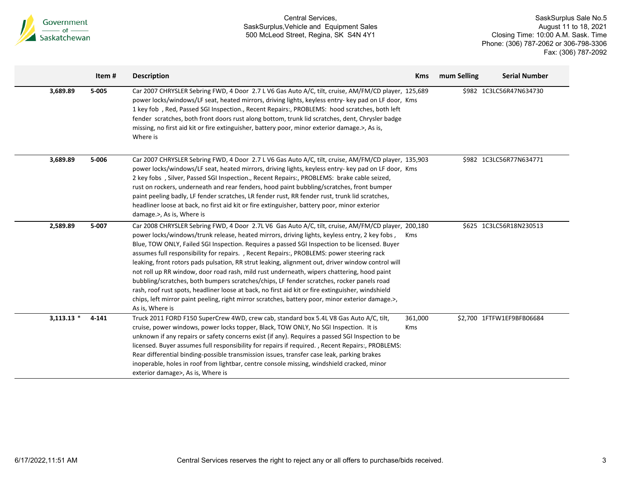

|              | Item# | <b>Description</b>                                                                                                                                                                                                                                                                                                                                                                                                                                                                                                                                                                                                                                                                                                                                                                                                                                                                                                            | <b>Kms</b>     | mum Selling | <b>Serial Number</b>      |
|--------------|-------|-------------------------------------------------------------------------------------------------------------------------------------------------------------------------------------------------------------------------------------------------------------------------------------------------------------------------------------------------------------------------------------------------------------------------------------------------------------------------------------------------------------------------------------------------------------------------------------------------------------------------------------------------------------------------------------------------------------------------------------------------------------------------------------------------------------------------------------------------------------------------------------------------------------------------------|----------------|-------------|---------------------------|
| 3,689.89     | 5-005 | Car 2007 CHRYSLER Sebring FWD, 4 Door 2.7 L V6 Gas Auto A/C, tilt, cruise, AM/FM/CD player, 125,689<br>power locks/windows/LF seat, heated mirrors, driving lights, keyless entry- key pad on LF door, Kms<br>1 key fob, Red, Passed SGI Inspection., Recent Repairs:, PROBLEMS: hood scratches, both left<br>fender scratches, both front doors rust along bottom, trunk lid scratches, dent, Chrysler badge<br>missing, no first aid kit or fire extinguisher, battery poor, minor exterior damage.>, As is,<br>Where is                                                                                                                                                                                                                                                                                                                                                                                                    |                |             | \$982 1C3LC56R47N634730   |
| 3,689.89     | 5-006 | Car 2007 CHRYSLER Sebring FWD, 4 Door 2.7 L V6 Gas Auto A/C, tilt, cruise, AM/FM/CD player, 135,903<br>power locks/windows/LF seat, heated mirrors, driving lights, keyless entry- key pad on LF door, Kms<br>2 key fobs , Silver, Passed SGI Inspection., Recent Repairs:, PROBLEMS: brake cable seized,<br>rust on rockers, underneath and rear fenders, hood paint bubbling/scratches, front bumper<br>paint peeling badly, LF fender scratches, LR fender rust, RR fender rust, trunk lid scratches,<br>headliner loose at back, no first aid kit or fire extinguisher, battery poor, minor exterior<br>damage.>, As is, Where is                                                                                                                                                                                                                                                                                         |                |             | \$982 1C3LC56R77N634771   |
| 2,589.89     | 5-007 | Car 2008 CHRYSLER Sebring FWD, 4 Door 2.7L V6 Gas Auto A/C, tilt, cruise, AM/FM/CD player, 200,180<br>power locks/windows/trunk release, heated mirrors, driving lights, keyless entry, 2 key fobs,<br>Blue, TOW ONLY, Failed SGI Inspection. Requires a passed SGI Inspection to be licensed. Buyer<br>assumes full responsibility for repairs. , Recent Repairs:, PROBLEMS: power steering rack<br>leaking, front rotors pads pulsation, RR strut leaking, alignment out, driver window control will<br>not roll up RR window, door road rash, mild rust underneath, wipers chattering, hood paint<br>bubbling/scratches, both bumpers scratches/chips, LF fender scratches, rocker panels road<br>rash, roof rust spots, headliner loose at back, no first aid kit or fire extinguisher, windshield<br>chips, left mirror paint peeling, right mirror scratches, battery poor, minor exterior damage.>,<br>As is, Where is | Kms            |             | \$625 1C3LC56R18N230513   |
| $3,113.13$ * | 4-141 | Truck 2011 FORD F150 SuperCrew 4WD, crew cab, standard box 5.4L V8 Gas Auto A/C, tilt,<br>cruise, power windows, power locks topper, Black, TOW ONLY, No SGI Inspection. It is<br>unknown if any repairs or safety concerns exist (if any). Requires a passed SGI Inspection to be<br>licensed. Buyer assumes full responsibility for repairs if required., Recent Repairs:, PROBLEMS:<br>Rear differential binding-possible transmission issues, transfer case leak, parking brakes<br>inoperable, holes in roof from lightbar, centre console missing, windshield cracked, minor<br>exterior damage>, As is, Where is                                                                                                                                                                                                                                                                                                       | 361,000<br>Kms |             | \$2,700 1FTFW1EF9BFB06684 |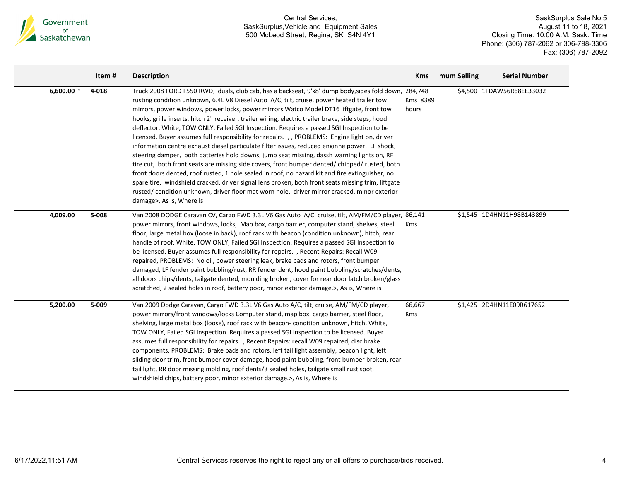

|              | Item# | <b>Description</b>                                                                                                                                                                                                                                                                                                                                                                                                                                                                                                                                                                                                                                                                                                                                                                                                                                                                                                                                                                                                                                                                                                                                                                                                                    | <b>Kms</b>        | mum Selling | <b>Serial Number</b>      |
|--------------|-------|---------------------------------------------------------------------------------------------------------------------------------------------------------------------------------------------------------------------------------------------------------------------------------------------------------------------------------------------------------------------------------------------------------------------------------------------------------------------------------------------------------------------------------------------------------------------------------------------------------------------------------------------------------------------------------------------------------------------------------------------------------------------------------------------------------------------------------------------------------------------------------------------------------------------------------------------------------------------------------------------------------------------------------------------------------------------------------------------------------------------------------------------------------------------------------------------------------------------------------------|-------------------|-------------|---------------------------|
| 6,600.00 $*$ | 4-018 | Truck 2008 FORD F550 RWD, duals, club cab, has a backseat, 9'x8' dump body, sides fold down, 284,748<br>rusting condition unknown, 6.4L V8 Diesel Auto A/C, tilt, cruise, power heated trailer tow<br>mirrors, power windows, power locks, power mirrors Watco Model DT16 liftgate, front tow<br>hooks, grille inserts, hitch 2" receiver, trailer wiring, electric trailer brake, side steps, hood<br>deflector, White, TOW ONLY, Failed SGI Inspection. Requires a passed SGI Inspection to be<br>licensed. Buyer assumes full responsibility for repairs. , , PROBLEMS: Engine light on, driver<br>information centre exhaust diesel particulate filter issues, reduced enginne power, LF shock,<br>steering damper, both batteries hold downs, jump seat missing, dassh warning lights on, RF<br>tire cut, both front seats are missing side covers, front bumper dented/chipped/rusted, both<br>front doors dented, roof rusted, 1 hole sealed in roof, no hazard kit and fire extinguisher, no<br>spare tire, windshield cracked, driver signal lens broken, both front seats missing trim, liftgate<br>rusted/condition unknown, driver floor mat worn hole, driver mirror cracked, minor exterior<br>damage>, As is, Where is | Kms 8389<br>hours |             | \$4,500 1FDAW56R68EE33032 |
| 4,009.00     | 5-008 | Van 2008 DODGE Caravan CV, Cargo FWD 3.3L V6 Gas Auto A/C, cruise, tilt, AM/FM/CD player, 86,141<br>power mirrors, front windows, locks, Map box, cargo barrier, computer stand, shelves, steel<br>floor, large metal box (loose in back), roof rack with beacon (condition unknown), hitch, rear<br>handle of roof, White, TOW ONLY, Failed SGI Inspection. Requires a passed SGI Inspection to<br>be licensed. Buyer assumes full responsibility for repairs. , Recent Repairs: Recall W09<br>repaired, PROBLEMS: No oil, power steering leak, brake pads and rotors, front bumper<br>damaged, LF fender paint bubbling/rust, RR fender dent, hood paint bubbling/scratches/dents,<br>all doors chips/dents, tailgate dented, moulding broken, cover for rear door latch broken/glass<br>scratched, 2 sealed holes in roof, battery poor, minor exterior damage.>, As is, Where is                                                                                                                                                                                                                                                                                                                                                  | Kms               |             | \$1,545 1D4HN11H98B143899 |
| 5,200.00     | 5-009 | Van 2009 Dodge Caravan, Cargo FWD 3.3L V6 Gas Auto A/C, tilt, cruise, AM/FM/CD player,<br>power mirrors/front windows/locks Computer stand, map box, cargo barrier, steel floor,<br>shelving, large metal box (loose), roof rack with beacon-condition unknown, hitch, White,<br>TOW ONLY, Failed SGI Inspection. Requires a passed SGI Inspection to be licensed. Buyer<br>assumes full responsibility for repairs., Recent Repairs: recall W09 repaired, disc brake<br>components, PROBLEMS: Brake pads and rotors, left tail light assembly, beacon light, left<br>sliding door trim, front bumper cover damage, hood paint bubbling, front bumper broken, rear<br>tail light, RR door missing molding, roof dents/3 sealed holes, tailgate small rust spot,<br>windshield chips, battery poor, minor exterior damage.>, As is, Where is                                                                                                                                                                                                                                                                                                                                                                                           | 66,667<br>Kms     |             | \$1,425 2D4HN11E09R617652 |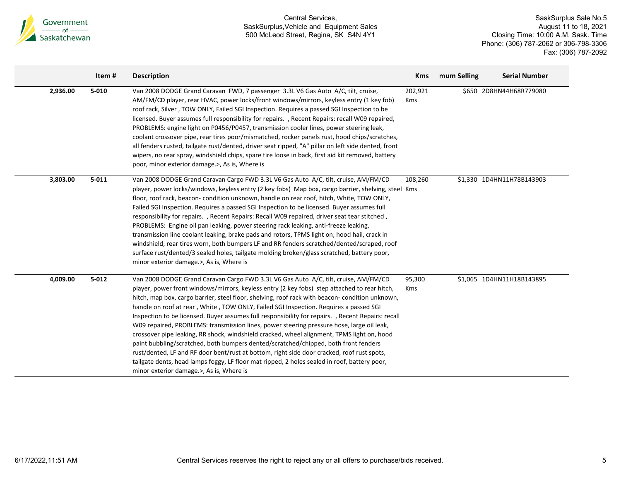

|          | Item#     | <b>Description</b>                                                                                                                                                                                                                                                                                                                                                                                                                                                                                                                                                                                                                                                                                                                                                                                                                                                                                                                                                                                               | <b>Kms</b>     | mum Selling | <b>Serial Number</b>      |
|----------|-----------|------------------------------------------------------------------------------------------------------------------------------------------------------------------------------------------------------------------------------------------------------------------------------------------------------------------------------------------------------------------------------------------------------------------------------------------------------------------------------------------------------------------------------------------------------------------------------------------------------------------------------------------------------------------------------------------------------------------------------------------------------------------------------------------------------------------------------------------------------------------------------------------------------------------------------------------------------------------------------------------------------------------|----------------|-------------|---------------------------|
| 2,936.00 | $5 - 010$ | Van 2008 DODGE Grand Caravan FWD, 7 passenger 3.3L V6 Gas Auto A/C, tilt, cruise,<br>AM/FM/CD player, rear HVAC, power locks/front windows/mirrors, keyless entry (1 key fob)<br>roof rack, Silver, TOW ONLY, Failed SGI Inspection. Requires a passed SGI Inspection to be<br>licensed. Buyer assumes full responsibility for repairs. , Recent Repairs: recall W09 repaired,<br>PROBLEMS: engine light on P0456/P0457, transmission cooler lines, power steering leak,<br>coolant crossover pipe, rear tires poor/mismatched, rocker panels rust, hood chips/scratches,<br>all fenders rusted, tailgate rust/dented, driver seat ripped, "A" pillar on left side dented, front<br>wipers, no rear spray, windshield chips, spare tire loose in back, first aid kit removed, battery<br>poor, minor exterior damage.>, As is, Where is                                                                                                                                                                          | 202,921<br>Kms |             | \$650 2D8HN44H68R779080   |
| 3,803.00 | $5 - 011$ | Van 2008 DODGE Grand Caravan Cargo FWD 3.3L V6 Gas Auto A/C, tilt, cruise, AM/FM/CD<br>player, power locks/windows, keyless entry (2 key fobs) Map box, cargo barrier, shelving, steel Kms<br>floor, roof rack, beacon-condition unknown, handle on rear roof, hitch, White, TOW ONLY,<br>Failed SGI Inspection. Requires a passed SGI Inspection to be licensed. Buyer assumes full<br>responsibility for repairs., Recent Repairs: Recall W09 repaired, driver seat tear stitched,<br>PROBLEMS: Engine oil pan leaking, power steering rack leaking, anti-freeze leaking,<br>transmission line coolant leaking, brake pads and rotors, TPMS light on, hood hail, crack in<br>windshield, rear tires worn, both bumpers LF and RR fenders scratched/dented/scraped, roof<br>surface rust/dented/3 sealed holes, tailgate molding broken/glass scratched, battery poor,<br>minor exterior damage.>, As is, Where is                                                                                              | 108,260        |             | \$1,330 1D4HN11H78B143903 |
| 4,009.00 | $5 - 012$ | Van 2008 DODGE Grand Caravan Cargo FWD 3.3L V6 Gas Auto A/C, tilt, cruise, AM/FM/CD<br>player, power front windows/mirrors, keyless entry (2 key fobs) step attached to rear hitch,<br>hitch, map box, cargo barrier, steel floor, shelving, roof rack with beacon-condition unknown,<br>handle on roof at rear, White, TOW ONLY, Failed SGI Inspection. Requires a passed SGI<br>Inspection to be licensed. Buyer assumes full responsibility for repairs. , Recent Repairs: recall<br>W09 repaired, PROBLEMS: transmission lines, power steering pressure hose, large oil leak,<br>crossover pipe leaking, RR shock, windshield cracked, wheel alignment, TPMS light on, hood<br>paint bubbling/scratched, both bumpers dented/scratched/chipped, both front fenders<br>rust/dented, LF and RF door bent/rust at bottom, right side door cracked, roof rust spots,<br>tailgate dents, head lamps foggy, LF floor mat ripped, 2 holes sealed in roof, battery poor,<br>minor exterior damage.>, As is, Where is | 95,300<br>Kms  |             | \$1,065 1D4HN11H18B143895 |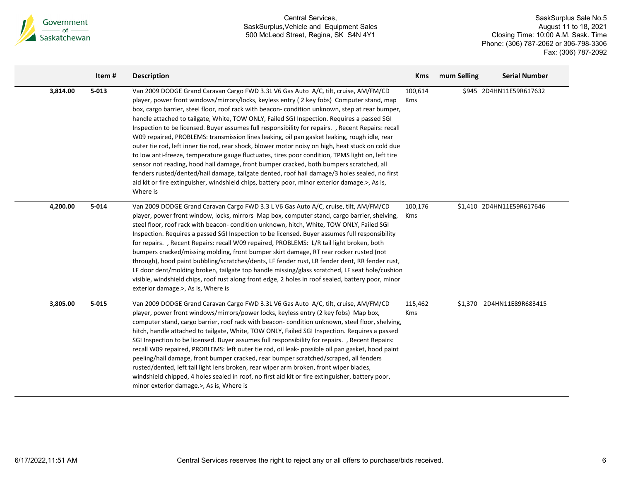

|          | Item#     | <b>Description</b>                                                                                                                                                                                                                                                                                                                                                                                                                                                                                                                                                                                                                                                                                                                                                                                                                                                                                                                                                                                                                                                                                       | <b>Kms</b>     | mum Selling | <b>Serial Number</b>      |
|----------|-----------|----------------------------------------------------------------------------------------------------------------------------------------------------------------------------------------------------------------------------------------------------------------------------------------------------------------------------------------------------------------------------------------------------------------------------------------------------------------------------------------------------------------------------------------------------------------------------------------------------------------------------------------------------------------------------------------------------------------------------------------------------------------------------------------------------------------------------------------------------------------------------------------------------------------------------------------------------------------------------------------------------------------------------------------------------------------------------------------------------------|----------------|-------------|---------------------------|
| 3,814.00 | $5 - 013$ | Van 2009 DODGE Grand Caravan Cargo FWD 3.3L V6 Gas Auto A/C, tilt, cruise, AM/FM/CD<br>player, power front windows/mirrors/locks, keyless entry (2 key fobs) Computer stand, map<br>box, cargo barrier, steel floor, roof rack with beacon-condition unknown, step at rear bumper,<br>handle attached to tailgate, White, TOW ONLY, Failed SGI Inspection. Requires a passed SGI<br>Inspection to be licensed. Buyer assumes full responsibility for repairs. , Recent Repairs: recall<br>W09 repaired, PROBLEMS: transmission lines leaking, oil pan gasket leaking, rough idle, rear<br>outer tie rod, left inner tie rod, rear shock, blower motor noisy on high, heat stuck on cold due<br>to low anti-freeze, temperature gauge fluctuates, tires poor condition, TPMS light on, left tire<br>sensor not reading, hood hail damage, front bumper cracked, both bumpers scratched, all<br>fenders rusted/dented/hail damage, tailgate dented, roof hail damage/3 holes sealed, no first<br>aid kit or fire extinguisher, windshield chips, battery poor, minor exterior damage.>, As is,<br>Where is | 100,614<br>Kms |             | \$945 2D4HN11E59R617632   |
| 4,200.00 | $5 - 014$ | Van 2009 DODGE Grand Caravan Cargo FWD 3.3 L V6 Gas Auto A/C, cruise, tilt, AM/FM/CD<br>player, power front window, locks, mirrors Map box, computer stand, cargo barrier, shelving,<br>steel floor, roof rack with beacon- condition unknown, hitch, White, TOW ONLY, Failed SGI<br>Inspection. Requires a passed SGI Inspection to be licensed. Buyer assumes full responsibility<br>for repairs., Recent Repairs: recall W09 repaired, PROBLEMS: L/R tail light broken, both<br>bumpers cracked/missing molding, front bumper skirt damage, RT rear rocker rusted (not<br>through), hood paint bubbling/scratches/dents, LF fender rust, LR fender dent, RR fender rust,<br>LF door dent/molding broken, tailgate top handle missing/glass scratched, LF seat hole/cushion<br>visible, windshield chips, roof rust along front edge, 2 holes in roof sealed, battery poor, minor<br>exterior damage.>, As is, Where is                                                                                                                                                                                | 100,176<br>Kms |             | \$1,410 2D4HN11E59R617646 |
| 3,805.00 | $5 - 015$ | Van 2009 DODGE Grand Caravan Cargo FWD 3.3L V6 Gas Auto A/C, tilt, cruise, AM/FM/CD<br>player, power front windows/mirrors/power locks, keyless entry (2 key fobs) Map box,<br>computer stand, cargo barrier, roof rack with beacon-condition unknown, steel floor, shelving,<br>hitch, handle attached to tailgate, White, TOW ONLY, Failed SGI Inspection. Requires a passed<br>SGI Inspection to be licensed. Buyer assumes full responsibility for repairs. , Recent Repairs:<br>recall W09 repaired, PROBLEMS: left outer tie rod, oil leak- possible oil pan gasket, hood paint<br>peeling/hail damage, front bumper cracked, rear bumper scratched/scraped, all fenders<br>rusted/dented, left tail light lens broken, rear wiper arm broken, front wiper blades,<br>windshield chipped, 4 holes sealed in roof, no first aid kit or fire extinguisher, battery poor,<br>minor exterior damage.>, As is, Where is                                                                                                                                                                                 | 115,462<br>Kms |             | \$1,370 2D4HN11E89R683415 |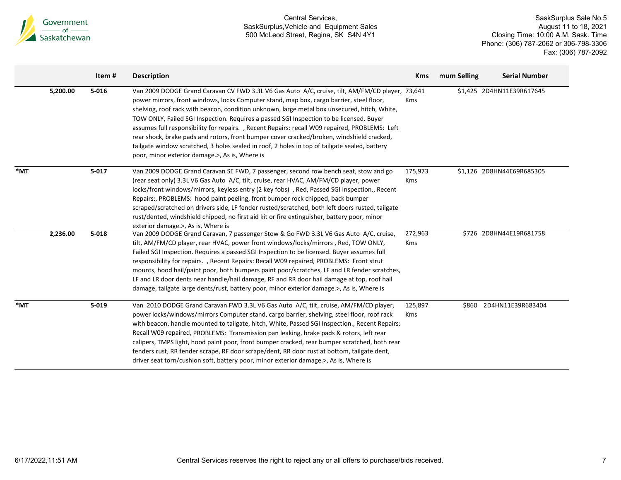

|        |          | Item#     | <b>Description</b>                                                                                                                                                                                                                                                                                                                                                                                                                                                                                                                                                                                                                                                                                                                      | <b>Kms</b>            | mum Selling | <b>Serial Number</b>      |
|--------|----------|-----------|-----------------------------------------------------------------------------------------------------------------------------------------------------------------------------------------------------------------------------------------------------------------------------------------------------------------------------------------------------------------------------------------------------------------------------------------------------------------------------------------------------------------------------------------------------------------------------------------------------------------------------------------------------------------------------------------------------------------------------------------|-----------------------|-------------|---------------------------|
|        | 5,200.00 | $5 - 016$ | Van 2009 DODGE Grand Caravan CV FWD 3.3L V6 Gas Auto A/C, cruise, tilt, AM/FM/CD player, 73,641<br>power mirrors, front windows, locks Computer stand, map box, cargo barrier, steel floor,<br>shelving, roof rack with beacon, condition unknown, large metal box unsecured, hitch, White,<br>TOW ONLY, Failed SGI Inspection. Requires a passed SGI Inspection to be licensed. Buyer<br>assumes full responsibility for repairs., Recent Repairs: recall W09 repaired, PROBLEMS: Left<br>rear shock, brake pads and rotors, front bumper cover cracked/broken, windshield cracked,<br>tailgate window scratched, 3 holes sealed in roof, 2 holes in top of tailgate sealed, battery<br>poor, minor exterior damage.>, As is, Where is | Kms                   |             | \$1,425 2D4HN11E39R617645 |
| $*$ MT |          | $5 - 017$ | Van 2009 DODGE Grand Caravan SE FWD, 7 passenger, second row bench seat, stow and go<br>(rear seat only) 3.3L V6 Gas Auto A/C, tilt, cruise, rear HVAC, AM/FM/CD player, power<br>locks/front windows/mirrors, keyless entry (2 key fobs), Red, Passed SGI Inspection., Recent<br>Repairs:, PROBLEMS: hood paint peeling, front bumper rock chipped, back bumper<br>scraped/scratched on drivers side, LF fender rusted/scratched, both left doors rusted, tailgate<br>rust/dented, windshield chipped, no first aid kit or fire extinguisher, battery poor, minor<br>exterior damage.>. As is. Where is                                                                                                                                | 175,973<br>Kms        |             | \$1,126 2D8HN44E69R685305 |
|        | 2,236.00 | $5 - 018$ | Van 2009 DODGE Grand Caravan, 7 passenger Stow & Go FWD 3.3L V6 Gas Auto A/C, cruise,<br>tilt, AM/FM/CD player, rear HVAC, power front windows/locks/mirrors, Red, TOW ONLY,<br>Failed SGI Inspection. Requires a passed SGI Inspection to be licensed. Buyer assumes full<br>responsibility for repairs., Recent Repairs: Recall W09 repaired, PROBLEMS: Front strut<br>mounts, hood hail/paint poor, both bumpers paint poor/scratches, LF and LR fender scratches,<br>LF and LR door dents near handle/hail damage, RF and RR door hail damage at top, roof hail<br>damage, tailgate large dents/rust, battery poor, minor exterior damage.>, As is, Where is                                                                        | 272,963<br><b>Kms</b> |             | \$726 2D8HN44E19R681758   |
| $*$ MT |          | $5 - 019$ | Van 2010 DODGE Grand Caravan FWD 3.3L V6 Gas Auto A/C, tilt, cruise, AM/FM/CD player,<br>power locks/windows/mirrors Computer stand, cargo barrier, shelving, steel floor, roof rack<br>with beacon, handle mounted to tailgate, hitch, White, Passed SGI Inspection., Recent Repairs:<br>Recall W09 repaired, PROBLEMS: Transmission pan leaking, brake pads & rotors, left rear<br>calipers, TMPS light, hood paint poor, front bumper cracked, rear bumper scratched, both rear<br>fenders rust, RR fender scrape, RF door scrape/dent, RR door rust at bottom, tailgate dent,<br>driver seat torn/cushion soft, battery poor, minor exterior damage.>, As is, Where is                                                              | 125,897<br>Kms        |             | \$860 2D4HN11E39R683404   |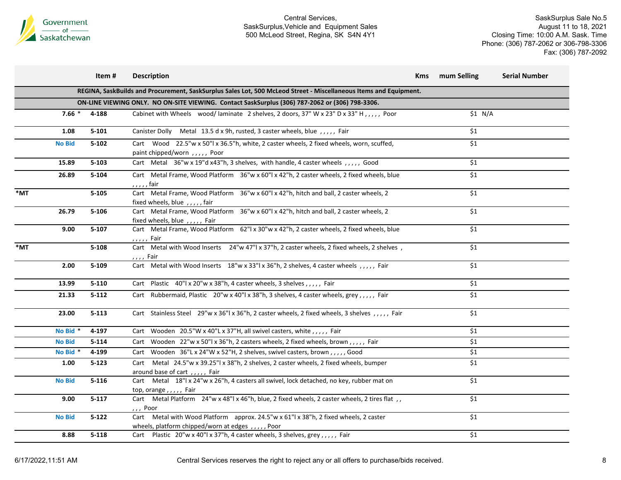

|     |                     | Item#     | <b>Description</b>                                                                                                                         | <b>Kms</b> | mum Selling | <b>Serial Number</b> |
|-----|---------------------|-----------|--------------------------------------------------------------------------------------------------------------------------------------------|------------|-------------|----------------------|
|     |                     |           | REGINA, SaskBuilds and Procurement, SaskSurplus Sales Lot, 500 McLeod Street - Miscellaneous Items and Equipment.                          |            |             |                      |
|     |                     |           | ON-LINE VIEWING ONLY. NO ON-SITE VIEWING. Contact SaskSurplus (306) 787-2062 or (306) 798-3306.                                            |            |             |                      |
|     | $7.66*$             | 4-188     | Cabinet with Wheels wood/laminate 2 shelves, 2 doors, 37" W x 23" D x 33" H,,,,,, Poor                                                     |            | \$1 N/A     |                      |
|     | 1.08                | $5 - 101$ | Canister Dolly Metal 13.5 d x 9h, rusted, 3 caster wheels, blue, ,,,, Fair                                                                 |            | \$1         |                      |
|     | <b>No Bid</b>       | $5 - 102$ | Cart Wood 22.5"w x 50"l x 36.5"h, white, 2 caster wheels, 2 fixed wheels, worn, scuffed,<br>paint chipped/worn,,,,, Poor                   |            | \$1         |                      |
|     | 15.89               | $5 - 103$ | Cart Metal 36"w x 19"d x43"h, 3 shelves, with handle, 4 caster wheels, ,,,,, Good                                                          |            | \$1         |                      |
|     | 26.89               | 5-104     | Cart Metal Frame, Wood Platform 36"w x 60"l x 42"h, 2 caster wheels, 2 fixed wheels, blue<br>, , , , , fair                                |            | \$1         |                      |
| *MT |                     | $5 - 105$ | Cart Metal Frame, Wood Platform 36"w x 60"l x 42"h, hitch and ball, 2 caster wheels, 2<br>fixed wheels, blue $, \ldots,$ fair              |            | \$1         |                      |
|     | 26.79               | 5-106     | Cart Metal Frame, Wood Platform 36"w x 60"l x 42"h, hitch and ball, 2 caster wheels, 2<br>fixed wheels, blue,,,,,, Fair                    |            | \$1         |                      |
|     | 9.00                | $5 - 107$ | Cart Metal Frame, Wood Platform 62"  x 30"w x 42"h, 2 caster wheels, 2 fixed wheels, blue<br>, , , , , Fair                                |            | \$1         |                      |
| *MT |                     | $5 - 108$ | Cart Metal with Wood Inserts 24"w 47"l x 37"h, 2 caster wheels, 2 fixed wheels, 2 shelves,<br>, , , , Fair                                 |            | \$1         |                      |
|     | 2.00                | $5 - 109$ | Cart Metal with Wood Inserts 18"w x 33"l x 36"h, 2 shelves, 4 caster wheels , , , , , Fair                                                 |            | \$1         |                      |
|     | 13.99               | $5 - 110$ | Cart Plastic 40"  x 20"w x 38"h, 4 caster wheels, 3 shelves,,,,, Fair                                                                      |            | \$1         |                      |
|     | 21.33               | $5 - 112$ | Cart Rubbermaid, Plastic 20"w x 40"l x 38"h, 3 shelves, 4 caster wheels, grey,,,,, Fair                                                    |            | \$1         |                      |
|     | 23.00               | $5 - 113$ | Cart Stainless Steel 29"w x 36"l x 36"h, 2 caster wheels, 2 fixed wheels, 3 shelves , , , , , Fair                                         |            | \$1         |                      |
|     | No Bid *            | 4-197     | Cart Wooden 20.5"W x 40"L x 37"H, all swivel casters, white, , , , , Fair                                                                  |            | \$1         |                      |
|     | <b>No Bid</b>       | $5 - 114$ | Cart Wooden 22"w x 50"l x 36"h, 2 casters wheels, 2 fixed wheels, brown,,,,, Fair                                                          |            | \$1         |                      |
|     | No Bid <sup>*</sup> | 4-199     | Cart Wooden 36"L x 24"W x 52"H, 2 shelves, swivel casters, brown,,,,, Good                                                                 |            | \$1         |                      |
|     | 1.00                | $5 - 123$ | Metal 24.5"w x 39.25"l x 38"h, 2 shelves, 2 caster wheels, 2 fixed wheels, bumper<br>Cart<br>around base of cart,,,,, Fair                 |            | \$1         |                      |
|     | <b>No Bid</b>       | $5 - 116$ | Cart Metal 18"  x 24"w x 26"h, 4 casters all swivel, lock detached, no key, rubber mat on<br>top, orange,,,,,, Fair                        |            | \$1         |                      |
|     | 9.00                | $5 - 117$ | Cart Metal Platform 24"w x 48"l x 46"h, blue, 2 fixed wheels, 2 caster wheels, 2 tires flat,<br>,,, Poor                                   |            | \$1         |                      |
|     | <b>No Bid</b>       | $5 - 122$ | Cart Metal with Wood Platform approx. 24.5"w x 61"l x 38"h, 2 fixed wheels, 2 caster<br>wheels, platform chipped/worn at edges, ,,,,, Poor |            | \$1         |                      |
|     | 8.88                | $5 - 118$ | Cart Plastic 20"w x 40"l x 37"h, 4 caster wheels, 3 shelves, grey,,,,, Fair                                                                |            | \$1         |                      |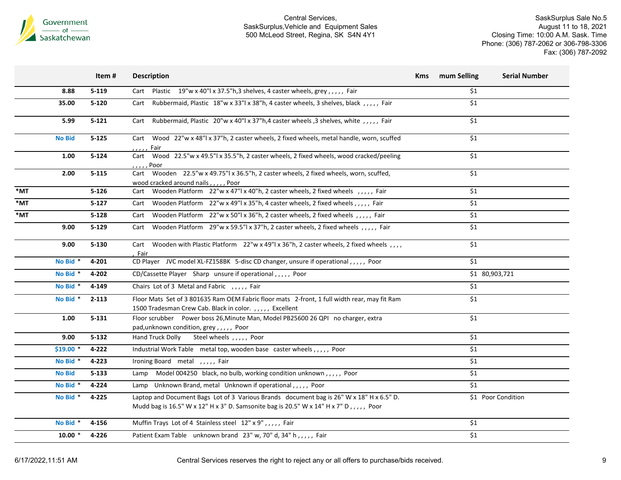

|                   |               | Item#     | <b>Description</b>                                                                                                                                                                | <b>Kms</b> | mum Selling | <b>Serial Number</b> |
|-------------------|---------------|-----------|-----------------------------------------------------------------------------------------------------------------------------------------------------------------------------------|------------|-------------|----------------------|
|                   | 8.88          | $5 - 119$ | Cart Plastic 19"w x 40"l x 37.5"h,3 shelves, 4 caster wheels, grey,,,,, Fair                                                                                                      |            | \$1         |                      |
|                   | 35.00         | $5 - 120$ | Rubbermaid, Plastic 18"w x 33"l x 38"h, 4 caster wheels, 3 shelves, black,,,,,, Fair<br>Cart                                                                                      |            | \$1         |                      |
|                   | 5.99          | $5 - 121$ | Rubbermaid, Plastic 20"w x 40"l x 37"h,4 caster wheels, 3 shelves, white, , Fair<br>Cart                                                                                          |            | \$1         |                      |
|                   | <b>No Bid</b> | $5 - 125$ | Cart Wood 22"w x 48"l x 37"h, 2 caster wheels, 2 fixed wheels, metal handle, worn, scuffed<br>, , , , , Fair                                                                      |            | \$1         |                      |
|                   | 1.00          | $5 - 124$ | Wood 22.5"w x 49.5"l x 35.5"h, 2 caster wheels, 2 fixed wheels, wood cracked/peeling<br>Cart<br>$, \ldots$ , Poor                                                                 |            | \$1         |                      |
|                   | 2.00          | $5 - 115$ | Cart Wooden 22.5"w x 49.75"l x 36.5"h, 2 caster wheels, 2 fixed wheels, worn, scuffed,<br>wood cracked around nails,,,,,, Poor                                                    |            | \$1         |                      |
| $*_{\mathsf{MT}}$ |               | $5 - 126$ | Cart Wooden Platform 22"w x 47"l x 40"h, 2 caster wheels, 2 fixed wheels , , , , , Fair                                                                                           |            | \$1         |                      |
| *MT               |               | $5 - 127$ | Cart Wooden Platform 22"w x 49"l x 35"h, 4 caster wheels, 2 fixed wheels,,,,, Fair                                                                                                |            | \$1         |                      |
| *MT               |               | $5 - 128$ | Wooden Platform 22"w x 50"l x 36"h, 2 caster wheels, 2 fixed wheels, ,,,,, Fair<br>Cart                                                                                           |            | \$1         |                      |
|                   | 9.00          | $5 - 129$ | Wooden Platform 29"w x 59.5"l x 37"h, 2 caster wheels, 2 fixed wheels, ,,,,, Fair<br>Cart                                                                                         |            | \$1         |                      |
|                   | 9.00          | $5 - 130$ | Wooden with Plastic Platform 22"w x 49"l x 36"h, 2 caster wheels, 2 fixed wheels, ,,,<br>Cart<br>Fair                                                                             |            | \$1         |                      |
|                   | No Bid *      | 4-201     | CD Player JVC model XL-FZ158BK 5-disc CD changer, unsure if operational,,,,, Poor                                                                                                 |            | \$1         |                      |
|                   | No Bid *      | 4-202     | CD/Cassette Player Sharp unsure if operational,,,,, Poor                                                                                                                          |            |             | \$1 80,903,721       |
|                   | No Bid *      | 4-149     | Chairs Lot of 3 Metal and Fabric , , , , , Fair                                                                                                                                   |            | \$1         |                      |
|                   | No Bid *      | $2 - 113$ | Floor Mats Set of 3 801635 Ram OEM Fabric floor mats 2-front, 1 full width rear, may fit Ram<br>1500 Tradesman Crew Cab. Black in color.,,,,, Excellent                           |            | \$1         |                      |
|                   | 1.00          | $5 - 131$ | Floor scrubber Power boss 26, Minute Man, Model PB25600 26 QPI no charger, extra<br>pad, unknown condition, grey, ,,,,, Poor                                                      |            | \$1         |                      |
|                   | 9.00          | $5 - 132$ | Hand Truck Dolly<br>Steel wheels ,,,,, Poor                                                                                                                                       |            | \$1         |                      |
|                   | $$19.00$ $*$  | 4-222     | Industrial Work Table metal top, wooden base caster wheels,,,,, Poor                                                                                                              |            | \$1         |                      |
|                   | No Bid *      | 4-223     | Ironing Board metal , , , , , Fair                                                                                                                                                |            | \$1         |                      |
|                   | <b>No Bid</b> | $5 - 133$ | Lamp Model 004250 black, no bulb, working condition unknown,,,,, Poor                                                                                                             |            | \$1         |                      |
|                   | No Bid *      | 4-224     | Lamp Unknown Brand, metal Unknown if operational,,,,, Poor                                                                                                                        |            | \$1         |                      |
|                   | No Bid *      | 4-225     | Laptop and Document Bags Lot of 3 Various Brands document bag is 26" W x 18" H x 6.5" D.<br>Mudd bag is 16.5" W x 12" H x 3" D. Samsonite bag is 20.5" W x 14" H x 7" D,,,,, Poor |            |             | \$1 Poor Condition   |
|                   | No Bid *      | 4-156     | Muffin Trays Lot of 4 Stainless steel 12" x 9",,,,, Fair                                                                                                                          |            | \$1         |                      |
|                   | $10.00*$      | 4-226     | Patient Exam Table unknown brand 23" w, 70" d, 34" h,,,,, Fair                                                                                                                    |            | \$1         |                      |
|                   |               |           |                                                                                                                                                                                   |            |             |                      |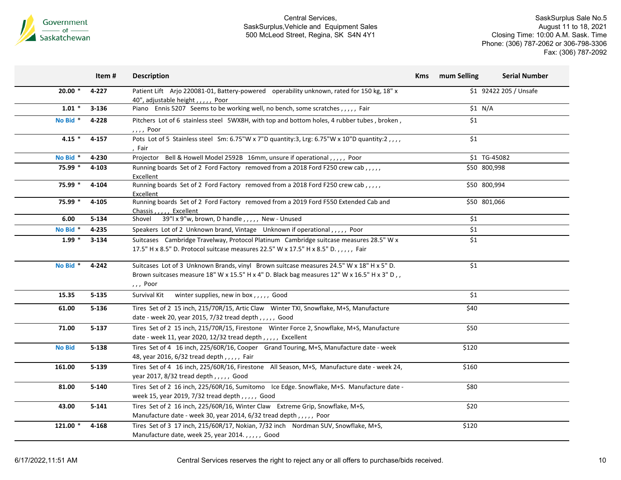

|               | Item #    | <b>Description</b>                                                                                                                                                                                    | <b>Kms</b> | mum Selling  | <b>Serial Number</b>   |
|---------------|-----------|-------------------------------------------------------------------------------------------------------------------------------------------------------------------------------------------------------|------------|--------------|------------------------|
| $20.00*$      | 4-227     | Patient Lift Arjo 220081-01, Battery-powered operability unknown, rated for 150 kg, 18" x<br>40", adjustable height, , Poor                                                                           |            |              | \$1 92422 205 / Unsafe |
| $1.01 *$      | $3 - 136$ | Piano Ennis 5207 Seems to be working well, no bench, some scratches,,,,, Fair                                                                                                                         |            | \$1 N/A      |                        |
| No Bid *      | 4-228     | Pitchers Lot of 6 stainless steel 5WX8H, with top and bottom holes, 4 rubber tubes , broken,<br>, , , , Poor                                                                                          |            | \$1          |                        |
| 4.15 $*$      | $4 - 157$ | Pots Lot of 5 Stainless steel Sm: 6.75"W x 7"D quantity:3, Lrg: 6.75"W x 10"D quantity:2,,,,<br>, Fair                                                                                                |            | \$1          |                        |
| No Bid *      | 4-230     | Projector Bell & Howell Model 2592B 16mm, unsure if operational,,,,, Poor                                                                                                                             |            |              | \$1 TG-45082           |
| 75.99 *       | 4-103     | Running boards Set of 2 Ford Factory removed from a 2018 Ford F250 crew cab,,,,,<br>Excellent                                                                                                         |            | \$50 800,998 |                        |
| 75.99 *       | 4-104     | Running boards Set of 2 Ford Factory removed from a 2018 Ford F250 crew cab,,,,,<br>Excellent                                                                                                         |            | \$50 800,994 |                        |
| 75.99 *       | 4-105     | Running boards Set of 2 Ford Factory removed from a 2019 Ford F550 Extended Cab and<br>Chassis, , Excellent                                                                                           |            | \$50 801,066 |                        |
| 6.00          | $5 - 134$ | 39"l x 9"w, brown, D handle, , , , , New - Unused<br>Shovel                                                                                                                                           |            | \$1          |                        |
| No Bid *      | 4-235     | Speakers Lot of 2 Unknown brand, Vintage Unknown if operational,,,,, Poor                                                                                                                             |            | \$1          |                        |
| $1.99 *$      | $3 - 134$ | Suitcases Cambridge Travelway, Protocol Platinum Cambridge suitcase measures 28.5" W x<br>17.5" H x 8.5" D. Protocol suitcase measures 22.5" W x 17.5" H x 8.5" D.,,,,, Fair                          |            | \$1          |                        |
| No Bid *      | 4-242     | Suitcases Lot of 3 Unknown Brands, vinyl Brown suitcase measures 24.5" W x 18" H x 5" D.<br>Brown suitcases measure 18" W x 15.5" H x 4" D. Black bag measures 12" W x 16.5" H x 3" D,,<br>, , , Poor |            | \$1          |                        |
| 15.35         | $5 - 135$ | Survival Kit<br>winter supplies, new in box,,,,, Good                                                                                                                                                 |            | \$1          |                        |
| 61.00         | $5 - 136$ | Tires Set of 2 15 inch, 215/70R/15, Artic Claw Winter TXI, Snowflake, M+S, Manufacture<br>date - week 20, year 2015, 7/32 tread depth,,,,,, Good                                                      |            | \$40         |                        |
| 71.00         | $5 - 137$ | Tires Set of 2 15 inch, 215/70R/15, Firestone Winter Force 2, Snowflake, M+S, Manufacture<br>date - week 11, year 2020, 12/32 tread depth,,,,, Excellent                                              |            | \$50         |                        |
| <b>No Bid</b> | $5 - 138$ | Tires Set of 4 16 inch, 225/60R/16, Cooper Grand Touring, M+S, Manufacture date - week<br>48, year 2016, 6/32 tread depth,,,,,, Fair                                                                  |            | \$120        |                        |
| 161.00        | $5 - 139$ | Tires Set of 4 16 inch, 225/60R/16, Firestone All Season, M+S, Manufacture date - week 24,<br>year 2017, 8/32 tread depth,,,,,, Good                                                                  |            | \$160        |                        |
| 81.00         | $5 - 140$ | Tires Set of 2 16 inch, 225/60R/16, Sumitomo Ice Edge. Snowflake, M+S. Manufacture date -<br>week 15, year 2019, 7/32 tread depth,,,,,, Good                                                          |            | \$80         |                        |
| 43.00         | $5 - 141$ | Tires Set of 2 16 inch, 225/60R/16, Winter Claw Extreme Grip, Snowflake, M+S,<br>Manufacture date - week 30, year 2014, 6/32 tread depth,,,,, Poor                                                    |            | \$20         |                        |
| 121.00 *      | 4-168     | Tires Set of 3 17 inch, 215/60R/17, Nokian, 7/32 inch Nordman SUV, Snowflake, M+S,<br>Manufacture date, week 25, year 2014.,,,,, Good                                                                 |            | \$120        |                        |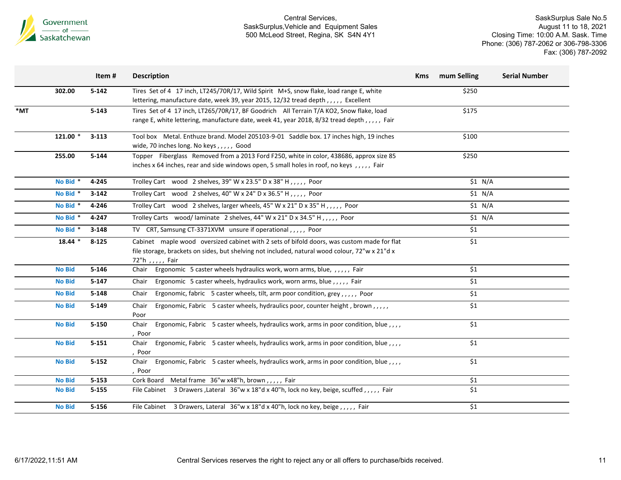

|     |               | Item#     | <b>Description</b>                                                                                                                                                                                                  | <b>Kms</b> | mum Selling | <b>Serial Number</b> |
|-----|---------------|-----------|---------------------------------------------------------------------------------------------------------------------------------------------------------------------------------------------------------------------|------------|-------------|----------------------|
|     | 302.00        | $5 - 142$ | Tires Set of 4 17 inch, LT245/70R/17, Wild Spirit M+S, snow flake, load range E, white<br>lettering, manufacture date, week 39, year 2015, 12/32 tread depth,,,,, Excellent                                         |            | \$250       |                      |
| *MT |               | $5 - 143$ | Tires Set of 4 17 inch, LT265/70R/17, BF Goodrich All Terrain T/A KO2, Snow flake, load<br>range E, white lettering, manufacture date, week 41, year 2018, 8/32 tread depth,,,,,, Fair                              |            | \$175       |                      |
|     | 121.00 *      | $3 - 113$ | Tool box Metal. Enthuze brand. Model 205103-9-01 Saddle box. 17 inches high, 19 inches<br>wide, 70 inches long. No keys,,,,,, Good                                                                                  |            | \$100       |                      |
|     | 255.00        | $5 - 144$ | Topper Fiberglass Removed from a 2013 Ford F250, white in color, 438686, approx size 85<br>inches x 64 inches, rear and side windows open, 5 small holes in roof, no keys,,,,, Fair                                 |            | \$250       |                      |
|     | No Bid *      | 4-245     | Trolley Cart wood 2 shelves, 39" W x 23.5" D x 38" H, , , , , Poor                                                                                                                                                  |            | \$1 N/A     |                      |
|     | No Bid *      | $3 - 142$ | Trolley Cart wood 2 shelves, 40" W x 24" D x 36.5" H, , , , , Poor                                                                                                                                                  |            | \$1 N/A     |                      |
|     | No Bid *      | 4-246     | Trolley Cart wood 2 shelves, larger wheels, 45" W x 21" D x 35" H,,,,, Poor                                                                                                                                         |            | \$1 N/A     |                      |
|     | No Bid *      | $4 - 247$ | Trolley Carts wood/laminate 2 shelves, 44" W x 21" D x 34.5" H,,,,, Poor                                                                                                                                            |            | $$1$ N/A    |                      |
|     | No Bid *      | $3 - 148$ | TV CRT, Samsung CT-3371XVM unsure if operational, , , , , Poor                                                                                                                                                      |            | \$1         |                      |
|     | $18.44*$      | $8 - 125$ | Cabinet maple wood oversized cabinet with 2 sets of bifold doors, was custom made for flat<br>file storage, brackets on sides, but shelving not included, natural wood colour, 72"w x 21"d x<br>72"h , , , , , Fair |            | \$1         |                      |
|     | <b>No Bid</b> | $5 - 146$ | Ergonomic 5 caster wheels hydraulics work, worn arms, blue, ,,,,, Fair<br>Chair                                                                                                                                     |            | \$1         |                      |
|     | <b>No Bid</b> | $5 - 147$ | Ergonomic 5 caster wheels, hydraulics work, worn arms, blue,,,,, Fair<br>Chair                                                                                                                                      |            | \$1         |                      |
|     | <b>No Bid</b> | $5 - 148$ | Ergonomic, fabric 5 caster wheels, tilt, arm poor condition, grey,,,,, Poor<br>Chair                                                                                                                                |            | \$1         |                      |
|     | <b>No Bid</b> | $5 - 149$ | Ergonomic, Fabric 5 caster wheels, hydraulics poor, counter height, brown,,,,,<br>Chair<br>Poor                                                                                                                     |            | \$1         |                      |
|     | <b>No Bid</b> | $5 - 150$ | Ergonomic, Fabric 5 caster wheels, hydraulics work, arms in poor condition, blue,,,,<br>Chair<br>Poor                                                                                                               |            | \$1         |                      |
|     | <b>No Bid</b> | $5 - 151$ | Ergonomic, Fabric 5 caster wheels, hydraulics work, arms in poor condition, blue,,,,<br>Chair<br>, Poor                                                                                                             |            | \$1         |                      |
|     | <b>No Bid</b> | $5 - 152$ | Ergonomic, Fabric 5 caster wheels, hydraulics work, arms in poor condition, blue,,,,<br>Chair<br>, Poor                                                                                                             |            | $$1$$       |                      |
|     | <b>No Bid</b> | $5 - 153$ | Cork Board Metal frame 36"w x48"h, brown,,,,, Fair                                                                                                                                                                  |            | \$1         |                      |
|     | <b>No Bid</b> | $5 - 155$ | File Cabinet 3 Drawers , Lateral 36"w x 18"d x 40"h, lock no key, beige, scuffed,,,,,, Fair                                                                                                                         |            | $$1$$       |                      |
|     | <b>No Bid</b> | $5 - 156$ | File Cabinet 3 Drawers, Lateral 36"w x 18"d x 40"h, lock no key, beige,,,,, Fair                                                                                                                                    |            | \$1         |                      |
|     |               |           |                                                                                                                                                                                                                     |            |             |                      |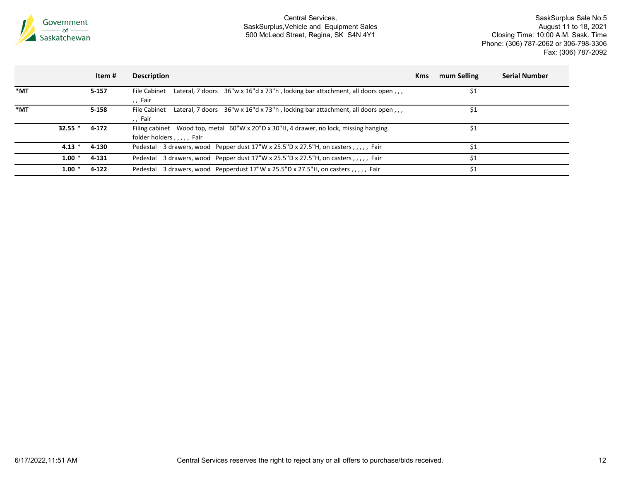

|                   |           | Item #    | <b>Description</b>                                                                                                        | <b>Kms</b> | mum Selling | <b>Serial Number</b> |
|-------------------|-----------|-----------|---------------------------------------------------------------------------------------------------------------------------|------------|-------------|----------------------|
| *MT               |           | $5 - 157$ | Lateral, 7 doors $36''w \times 16''d \times 73''h$ , locking bar attachment, all doors open,,,<br>File Cabinet<br>,, Fair |            | \$1         |                      |
| $*_{\mathsf{MT}}$ |           | $5 - 158$ | Lateral, 7 doors $36''w \times 16''d \times 73''h$ , locking bar attachment, all doors open,,,<br>File Cabinet<br>,, Fair |            | \$1         |                      |
|                   | $32.55$ * | 4-172     | Filing cabinet Wood top, metal 60"W x 20"D x 30"H, 4 drawer, no lock, missing hanging<br>folder holders,,,,, Fair         |            | S1          |                      |
|                   | $4.13*$   | 4-130     | Pedestal 3 drawers, wood Pepper dust 17"W x 25.5"D x 27.5"H, on casters,,,,, Fair                                         |            | \$1         |                      |
|                   | $1.00*$   | 4-131     | Pedestal 3 drawers, wood Pepper dust 17"W x 25.5"D x 27.5"H, on casters, ,,,, Fair                                        |            | \$1         |                      |
|                   | $1.00*$   | 4-122     | Pedestal 3 drawers, wood Pepperdust 17"W x 25.5"D x 27.5"H, on casters,,,,, Fair                                          |            | \$1         |                      |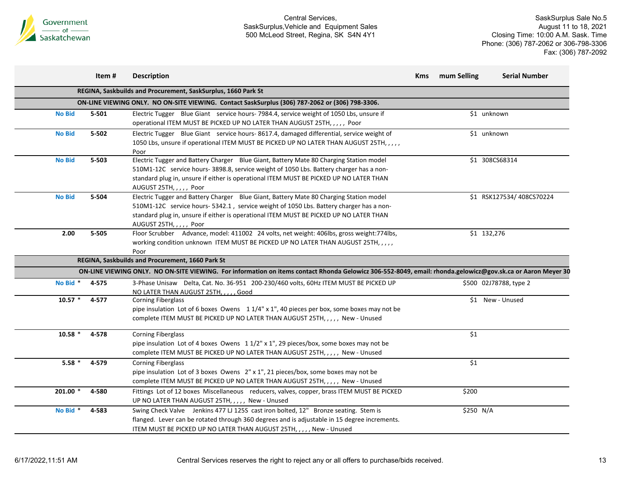

|               | Item#     | <b>Description</b>                                                                                                                                                                                                                                                                                       | <b>Kms</b> | mum Selling | <b>Serial Number</b>     |
|---------------|-----------|----------------------------------------------------------------------------------------------------------------------------------------------------------------------------------------------------------------------------------------------------------------------------------------------------------|------------|-------------|--------------------------|
|               |           | REGINA, Saskbuilds and Procurement, SaskSurplus, 1660 Park St                                                                                                                                                                                                                                            |            |             |                          |
|               |           | ON-LINE VIEWING ONLY. NO ON-SITE VIEWING. Contact SaskSurplus (306) 787-2062 or (306) 798-3306.                                                                                                                                                                                                          |            |             |                          |
| <b>No Bid</b> | $5 - 501$ | Electric Tugger Blue Giant service hours-7984.4, service weight of 1050 Lbs, unsure if<br>operational ITEM MUST BE PICKED UP NO LATER THAN AUGUST 25TH, , , , , Poor                                                                                                                                     |            |             | \$1 unknown              |
| <b>No Bid</b> | $5 - 502$ | Electric Tugger Blue Giant service hours-8617.4, damaged differential, service weight of<br>1050 Lbs, unsure if operational ITEM MUST BE PICKED UP NO LATER THAN AUGUST 25TH, , , , ,<br>Poor                                                                                                            |            |             | \$1 unknown              |
| <b>No Bid</b> | $5 - 503$ | Electric Tugger and Battery Charger Blue Giant, Battery Mate 80 Charging Station model<br>510M1-12C service hours- 3898.8, service weight of 1050 Lbs. Battery charger has a non-<br>standard plug in, unsure if either is operational ITEM MUST BE PICKED UP NO LATER THAN<br>AUGUST 25TH, , , , , Poor |            |             | \$1 308CS68314           |
| <b>No Bid</b> | 5-504     | Electric Tugger and Battery Charger Blue Giant, Battery Mate 80 Charging Station model<br>510M1-12C service hours-5342.1, service weight of 1050 Lbs. Battery charger has a non-<br>standard plug in, unsure if either is operational ITEM MUST BE PICKED UP NO LATER THAN<br>AUGUST 25TH, , , , , Poor  |            |             | \$1 RSK127534/408CS70224 |
| 2.00          | $5 - 505$ | Floor Scrubber Advance, model: 411002 24 volts, net weight: 406lbs, gross weight: 774lbs,<br>working condition unknown ITEM MUST BE PICKED UP NO LATER THAN AUGUST 25TH, , , , ,<br>Poor                                                                                                                 |            |             | \$1 132,276              |
|               |           | REGINA, Saskbuilds and Procurement, 1660 Park St                                                                                                                                                                                                                                                         |            |             |                          |
|               |           | ON-LINE VIEWING ONLY. NO ON-SITE VIEWING. For information on items contact Rhonda Gelowicz 306-552-8049, email: rhonda.gelowicz@gov.sk.ca or Aaron Meyer 30                                                                                                                                              |            |             |                          |
| No Bid *      | 4-575     | 3-Phase Unisaw Delta, Cat. No. 36-951 200-230/460 volts, 60Hz ITEM MUST BE PICKED UP<br>NO LATER THAN AUGUST 25TH, , , , , Good                                                                                                                                                                          |            |             | \$500 02J78788, type 2   |
| $10.57$ *     | 4-577     | <b>Corning Fiberglass</b><br>pipe insulation Lot of 6 boxes Owens $11/4$ " x 1", 40 pieces per box, some boxes may not be<br>complete ITEM MUST BE PICKED UP NO LATER THAN AUGUST 25TH, , , , , New - Unused                                                                                             |            |             | \$1 New - Unused         |
| $10.58$ *     | 4-578     | <b>Corning Fiberglass</b><br>pipe insulation Lot of 4 boxes Owens 11/2" x 1", 29 pieces/box, some boxes may not be<br>complete ITEM MUST BE PICKED UP NO LATER THAN AUGUST 25TH, , , , , New - Unused                                                                                                    |            | \$1         |                          |
| $5.58*$       | 4-579     | <b>Corning Fiberglass</b><br>pipe insulation Lot of 3 boxes Owens $2'' \times 1''$ , 21 pieces/box, some boxes may not be<br>complete ITEM MUST BE PICKED UP NO LATER THAN AUGUST 25TH, , , , , New - Unused                                                                                             |            | \$1         |                          |
| 201.00 *      | 4-580     | Fittings Lot of 12 boxes Miscellaneous reducers, valves, copper, brass ITEM MUST BE PICKED<br>UP NO LATER THAN AUGUST 25TH, , , , , New - Unused                                                                                                                                                         |            | \$200       |                          |
| No Bid *      | 4-583     | Swing Check Valve Jenkins 477 LJ 125S cast iron bolted, 12" Bronze seating. Stem is<br>flanged. Lever can be rotated through 360 degrees and is adjustable in 15 degree increments.<br>ITEM MUST BE PICKED UP NO LATER THAN AUGUST 25TH, , , , , New - Unused                                            |            | \$250 N/A   |                          |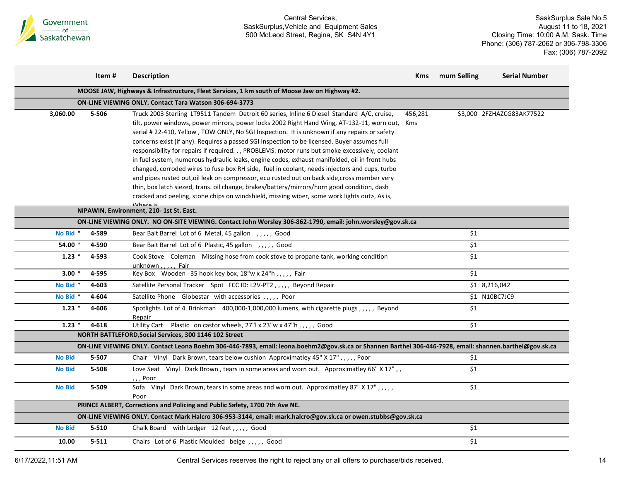

|               | Item#                                                                                                         | <b>Description</b>                                                                                                                                                                                                                                                                                                                                                                                                                                                                                                                                                                                                                                                                                                                                                                          | <b>Kms</b>     | mum Selling | <b>Serial Number</b>      |  |  |  |  |  |
|---------------|---------------------------------------------------------------------------------------------------------------|---------------------------------------------------------------------------------------------------------------------------------------------------------------------------------------------------------------------------------------------------------------------------------------------------------------------------------------------------------------------------------------------------------------------------------------------------------------------------------------------------------------------------------------------------------------------------------------------------------------------------------------------------------------------------------------------------------------------------------------------------------------------------------------------|----------------|-------------|---------------------------|--|--|--|--|--|
|               | MOOSE JAW, Highways & Infrastructure, Fleet Services, 1 km south of Moose Jaw on Highway #2.                  |                                                                                                                                                                                                                                                                                                                                                                                                                                                                                                                                                                                                                                                                                                                                                                                             |                |             |                           |  |  |  |  |  |
|               | ON-LINE VIEWING ONLY. Contact Tara Watson 306-694-3773                                                        |                                                                                                                                                                                                                                                                                                                                                                                                                                                                                                                                                                                                                                                                                                                                                                                             |                |             |                           |  |  |  |  |  |
| 3,060.00      | 5-506                                                                                                         | Truck 2003 Sterling LT9511 Tandem Detroit 60 series, Inline 6 Diesel Standard A/C, cruise,<br>tilt, power windows, power mirrors, power locks 2002 Right Hand Wing, AT-132-11, worn out,<br>serial #22-410, Yellow, TOW ONLY, No SGI Inspection. It is unknown if any repairs or safety<br>concerns exist (if any). Requires a passed SGI Inspection to be licensed. Buyer assumes full<br>responsibility for repairs if required., , PROBLEMS: motor runs but smoke excessively, coolant<br>in fuel system, numerous hydraulic leaks, engine codes, exhaust manifolded, oil in front hubs<br>changed, corroded wires to fuse box RH side, fuel in coolant, needs injectors and cups, turbo<br>and pipes rusted out, oil leak on compressor, ecu rusted out on back side, cross member very | 456,281<br>Kms |             | \$3,000 2FZHAZCG83AK77522 |  |  |  |  |  |
|               |                                                                                                               | thin, box latch siezed, trans. oil change, brakes/battery/mirrors/horn good condition, dash<br>cracked and peeling, stone chips on windshield, missing wiper, some work lights out>, As is,                                                                                                                                                                                                                                                                                                                                                                                                                                                                                                                                                                                                 |                |             |                           |  |  |  |  |  |
|               |                                                                                                               | NIPAWIN, Environment, 210- 1st St. East.                                                                                                                                                                                                                                                                                                                                                                                                                                                                                                                                                                                                                                                                                                                                                    |                |             |                           |  |  |  |  |  |
|               |                                                                                                               | ON-LINE VIEWING ONLY. NO ON-SITE VIEWING. Contact John Worsley 306-862-1790, email: john.worsley@gov.sk.ca                                                                                                                                                                                                                                                                                                                                                                                                                                                                                                                                                                                                                                                                                  |                |             |                           |  |  |  |  |  |
| No Bid *      | 4-589                                                                                                         | Bear Bait Barrel Lot of 6 Metal, 45 gallon , , , , , Good                                                                                                                                                                                                                                                                                                                                                                                                                                                                                                                                                                                                                                                                                                                                   |                | \$1         |                           |  |  |  |  |  |
| 54.00 *       | 4-590                                                                                                         | Bear Bait Barrel Lot of 6 Plastic, 45 gallon , , , , , Good                                                                                                                                                                                                                                                                                                                                                                                                                                                                                                                                                                                                                                                                                                                                 |                | \$1         |                           |  |  |  |  |  |
| $1.23*$       | 4-593                                                                                                         | Cook Stove Coleman Missing hose from cook stove to propane tank, working condition<br>unknown,,,,, Fair                                                                                                                                                                                                                                                                                                                                                                                                                                                                                                                                                                                                                                                                                     |                | \$1         |                           |  |  |  |  |  |
| $3.00*$       | 4-595                                                                                                         | Key Box Wooden 35 hook key box, 18"w x 24"h,,,,, Fair                                                                                                                                                                                                                                                                                                                                                                                                                                                                                                                                                                                                                                                                                                                                       |                | \$1         |                           |  |  |  |  |  |
| No Bid *      | 4-603                                                                                                         | Satellite Personal Tracker    Spot    FCC ID: L2V-PT2,,,,,    Beyond Repair                                                                                                                                                                                                                                                                                                                                                                                                                                                                                                                                                                                                                                                                                                                 |                |             | \$1 8,216,042             |  |  |  |  |  |
| No Bid *      | 4-604                                                                                                         | Satellite Phone Globestar with accessories , , , , , Poor                                                                                                                                                                                                                                                                                                                                                                                                                                                                                                                                                                                                                                                                                                                                   |                |             | \$1 N10BC7JC9             |  |  |  |  |  |
| $1.23*$       | 4-606                                                                                                         | Spotlights Lot of 4 Brinkman 400,000-1,000,000 lumens, with cigarette plugs,,,,,, Beyond<br>Repair                                                                                                                                                                                                                                                                                                                                                                                                                                                                                                                                                                                                                                                                                          |                | \$1         |                           |  |  |  |  |  |
| $1.23*$       | $4 - 618$                                                                                                     | Utility Cart Plastic on castor wheels, 27"  x 23"w x 47"h,,,,, Good                                                                                                                                                                                                                                                                                                                                                                                                                                                                                                                                                                                                                                                                                                                         |                | \$1         |                           |  |  |  |  |  |
|               |                                                                                                               | NORTH BATTLEFORD, Social Services, 300 1146 102 Street                                                                                                                                                                                                                                                                                                                                                                                                                                                                                                                                                                                                                                                                                                                                      |                |             |                           |  |  |  |  |  |
|               |                                                                                                               | ON-LINE VIEWING ONLY. Contact Leona Boehm 306-446-7893, email: leona.boehm2@gov.sk.ca or Shannen Barthel 306-446-7928, email: shannen.barthel@gov.sk.ca                                                                                                                                                                                                                                                                                                                                                                                                                                                                                                                                                                                                                                     |                |             |                           |  |  |  |  |  |
| <b>No Bid</b> | 5-507                                                                                                         | Chair Vinyl Dark Brown, tears below cushion Approximatley 45" X 17",,,,, Poor                                                                                                                                                                                                                                                                                                                                                                                                                                                                                                                                                                                                                                                                                                               |                | \$1         |                           |  |  |  |  |  |
| <b>No Bid</b> | 5-508                                                                                                         | Love Seat Vinyl Dark Brown, tears in some areas and worn out. Approximatley 66" X 17",<br>, , , Poor                                                                                                                                                                                                                                                                                                                                                                                                                                                                                                                                                                                                                                                                                        |                | \$1         |                           |  |  |  |  |  |
| <b>No Bid</b> | 5-509                                                                                                         | Sofa Vinyl Dark Brown, tears in some areas and worn out. Approximatley 87" X 17",,,,<br>Poor                                                                                                                                                                                                                                                                                                                                                                                                                                                                                                                                                                                                                                                                                                |                | \$1         |                           |  |  |  |  |  |
|               | PRINCE ALBERT, Corrections and Policing and Public Safety, 1700 7th Ave NE.                                   |                                                                                                                                                                                                                                                                                                                                                                                                                                                                                                                                                                                                                                                                                                                                                                                             |                |             |                           |  |  |  |  |  |
|               | ON-LINE VIEWING ONLY. Contact Mark Halcro 306-953-3144, email: mark.halcro@gov.sk.ca or owen.stubbs@gov.sk.ca |                                                                                                                                                                                                                                                                                                                                                                                                                                                                                                                                                                                                                                                                                                                                                                                             |                |             |                           |  |  |  |  |  |
| <b>No Bid</b> | 5-510                                                                                                         | Chalk Board with Ledger 12 feet,,,,, Good                                                                                                                                                                                                                                                                                                                                                                                                                                                                                                                                                                                                                                                                                                                                                   |                | \$1         |                           |  |  |  |  |  |
| 10.00         | $5 - 511$                                                                                                     | Chairs Lot of 6 Plastic Moulded beige, ,,,,, Good                                                                                                                                                                                                                                                                                                                                                                                                                                                                                                                                                                                                                                                                                                                                           |                | \$1         |                           |  |  |  |  |  |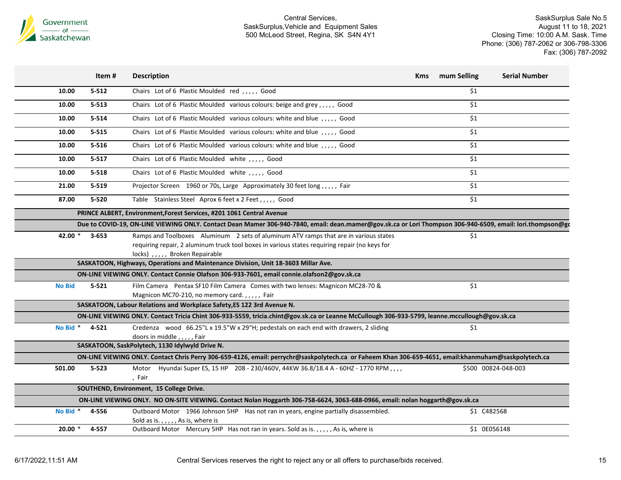

|               | Item#     | <b>Description</b>                                                                                                                                                                                                     | Kms | mum Selling  | <b>Serial Number</b> |
|---------------|-----------|------------------------------------------------------------------------------------------------------------------------------------------------------------------------------------------------------------------------|-----|--------------|----------------------|
| 10.00         | $5 - 512$ | Chairs Lot of 6 Plastic Moulded red , , , , , Good                                                                                                                                                                     |     | \$1          |                      |
| 10.00         | $5 - 513$ | Chairs Lot of 6 Plastic Moulded various colours: beige and grey,,,,, Good                                                                                                                                              |     | \$1          |                      |
| 10.00         | $5 - 514$ | Chairs Lot of 6 Plastic Moulded various colours: white and blue,,,,,, Good                                                                                                                                             |     | \$1          |                      |
| 10.00         | $5 - 515$ | Chairs Lot of 6 Plastic Moulded various colours: white and blue,,,,, Good                                                                                                                                              |     | \$1          |                      |
| 10.00         | $5 - 516$ | Chairs Lot of 6 Plastic Moulded various colours: white and blue,,,,,, Good                                                                                                                                             |     | \$1          |                      |
| 10.00         | $5 - 517$ | Chairs Lot of 6 Plastic Moulded white , , , , , Good                                                                                                                                                                   |     | \$1          |                      |
| 10.00         | $5 - 518$ | Chairs Lot of 6 Plastic Moulded white , , , , , Good                                                                                                                                                                   |     | \$1          |                      |
| 21.00         | $5 - 519$ | Projector Screen 1960 or 70s, Large Approximately 30 feet long,,,,, Fair                                                                                                                                               |     | \$1          |                      |
| 87.00         | $5 - 520$ | Table Stainless Steel Aprox 6 feet x 2 Feet,,,,, Good                                                                                                                                                                  |     | \$1          |                      |
|               |           | PRINCE ALBERT, Environment, Forest Services, #201 1061 Central Avenue                                                                                                                                                  |     |              |                      |
|               |           | Due to COVID-19, ON-LINE VIEWING ONLY. Contact Dean Mamer 306-940-7840, email: dean.mamer@gov.sk.ca or Lori Thompson 306-940-6509, email: lori.thompson@gc                                                             |     |              |                      |
| 42.00 $*$     | $3 - 653$ | Ramps and Toolboxes Aluminum 2 sets of aluminum ATV ramps that are in various states<br>requiring repair, 2 aluminum truck tool boxes in various states requiring repair (no keys for<br>locks),,,,, Broken Repairable |     | \$1          |                      |
|               |           | SASKATOON, Highways, Operations and Maintenance Division, Unit 18-3603 Millar Ave.                                                                                                                                     |     |              |                      |
|               |           | ON-LINE VIEWING ONLY. Contact Connie Olafson 306-933-7601, email connie.olafson2@gov.sk.ca                                                                                                                             |     |              |                      |
| <b>No Bid</b> | $5 - 521$ | Film Camera Pentax SF10 Film Camera Comes with two lenses: Magnicon MC28-70 &<br>Magnicon MC70-210, no memory card.,,,,, Fair                                                                                          |     | \$1          |                      |
|               |           | SASKATOON, Labour Relations and Workplace Safety, ES 122 3rd Avenue N.                                                                                                                                                 |     |              |                      |
|               |           | ON-LINE VIEWING ONLY. Contact Tricia Chint 306-933-5559, tricia.chint@gov.sk.ca or Leanne McCullough 306-933-5799, leanne.mccullough@gov.sk.ca                                                                         |     |              |                      |
| No Bid *      | $4 - 521$ | Credenza wood 66.25"L x 19.5"W x 29"H; pedestals on each end with drawers, 2 sliding<br>doors in middle,,,,,Fair                                                                                                       |     | \$1          |                      |
|               |           | SASKATOON, SaskPolytech, 1130 Idylwyld Drive N.                                                                                                                                                                        |     |              |                      |
|               |           | ON-LINE VIEWING ONLY. Contact Chris Perry 306-659-4126, email: perrychr@saskpolytech.ca or Faheem Khan 306-659-4651, email:khanmuham@saskpolytech.ca                                                                   |     |              |                      |
| 501.00        | $5 - 523$ | Motor Hyundai Super ES, 15 HP 208 - 230/460V, 44KW 36.8/18.4 A - 60HZ - 1770 RPM,,,,<br>, Fair                                                                                                                         |     |              | \$500 00824-048-003  |
|               |           | SOUTHEND, Environment, 15 College Drive.                                                                                                                                                                               |     |              |                      |
|               |           | ON-LINE VIEWING ONLY. NO ON-SITE VIEWING. Contact Nolan Hoggarth 306-758-6624, 3063-688-0966, email: nolan hoggarth@gov.sk.ca                                                                                          |     |              |                      |
| No Bid *      | 4-556     | Outboard Motor 1966 Johnson 5HP Has not ran in years, engine partially disassembled.<br>Sold as is.,,,,, As is, where is                                                                                               |     | \$1 C482568  |                      |
| $20.00*$      | 4-557     | Outboard Motor Mercury 5HP Has not ran in years. Sold as is.,,,,, As is, where is                                                                                                                                      |     | \$1 0E056148 |                      |